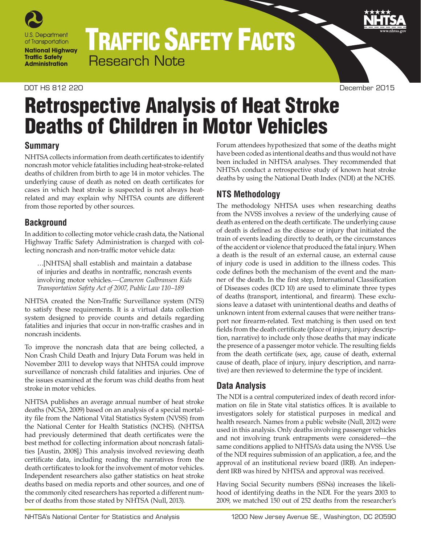

# TRAFFIC SAFETY FACTS Research Note

#### DOT HS 812 220 December 2015

# Retrospective Analysis of Heat Stroke Deaths of Children in Motor Vehicles

## **Summary**

NHTSA collects information from death certificates to identify noncrash motor vehicle fatalities including heat-stroke-related deaths of children from birth to age 14 in motor vehicles. The underlying cause of death as noted on death certificates for cases in which heat stroke is suspected is not always heatrelated and may explain why NHTSA counts are different from those reported by other sources.

## **Background**

In addition to collecting motor vehicle crash data, the National Highway Traffic Safety Administration is charged with collecting noncrash and non-traffic motor vehicle data:

…[NHTSA] shall establish and maintain a database of injuries and deaths in nontraffic, noncrash events involving motor vehicles.*—Cameron Gulbransen Kids Transportation Safety Act of 2007, Public Law 110–189*

NHTSA created the Non-Traffic Surveillance system (NTS) to satisfy these requirements. It is a virtual data collection system designed to provide counts and details regarding fatalities and injuries that occur in non-traffic crashes and in noncrash incidents.

To improve the noncrash data that are being collected, a Non Crash Child Death and Injury Data Forum was held in November 2011 to develop ways that NHTSA could improve surveillance of noncrash child fatalities and injuries. One of the issues examined at the forum was child deaths from heat stroke in motor vehicles.

NHTSA publishes an average annual number of heat stroke deaths (NCSA, 2009) based on an analysis of a special mortality file from the National Vital Statistics System (NVSS) from the National Center for Health Statistics (NCHS). (NHTSA had previously determined that death certificates were the best method for collecting information about noncrash fatalities [Austin, 2008].) This analysis involved reviewing death certificate data, including reading the narratives from the death certificates to look for the involvement of motor vehicles. Independent researchers also gather statistics on heat stroke deaths based on media reports and other sources, and one of the commonly cited researchers has reported a different number of deaths from those stated by NHTSA (Null, 2013).

Forum attendees hypothesized that some of the deaths might have been coded as intentional deaths and thus would not have been included in NHTSA analyses. They recommended that NHTSA conduct a retrospective study of known heat stroke deaths by using the National Death Index (NDI) at the NCHS.

## **NTS Methodology**

The methodology NHTSA uses when researching deaths from the NVSS involves a review of the underlying cause of death as entered on the death certificate. The underlying cause of death is defined as the disease or injury that initiated the train of events leading directly to death, or the circumstances of the accident or violence that produced the fatal injury. When a death is the result of an external cause, an external cause of injury code is used in addition to the illness codes. This code defines both the mechanism of the event and the manner of the death. In the first step, International Classification of Diseases codes (ICD 10) are used to eliminate three types of deaths (transport, intentional, and firearm). These exclusions leave a dataset with unintentional deaths and deaths of unknown intent from external causes that were neither transport nor firearm-related. Text matching is then used on text fields from the death certificate (place of injury, injury description, narrative) to include only those deaths that may indicate the presence of a passenger motor vehicle. The resulting fields from the death certificate (sex, age, cause of death, external cause of death, place of injury, injury description, and narrative) are then reviewed to determine the type of incident.

## **Data Analysis**

The NDI is a central computerized index of death record information on file in State vital statistics offices. It is available to investigators solely for statistical purposes in medical and health research. Names from a public website (Null, 2012) were used in this analysis. Only deaths involving passenger vehicles and not involving trunk entrapments were considered—the same conditions applied to NHTSA's data using the NVSS. Use of the NDI requires submission of an application, a fee, and the approval of an institutional review board (IRB). An independent IRB was hired by NHTSA and approval was received.

Having Social Security numbers (SSNs) increases the likelihood of identifying deaths in the NDI. For the years 2003 to 2009, we matched 150 out of 252 deaths from the researcher's